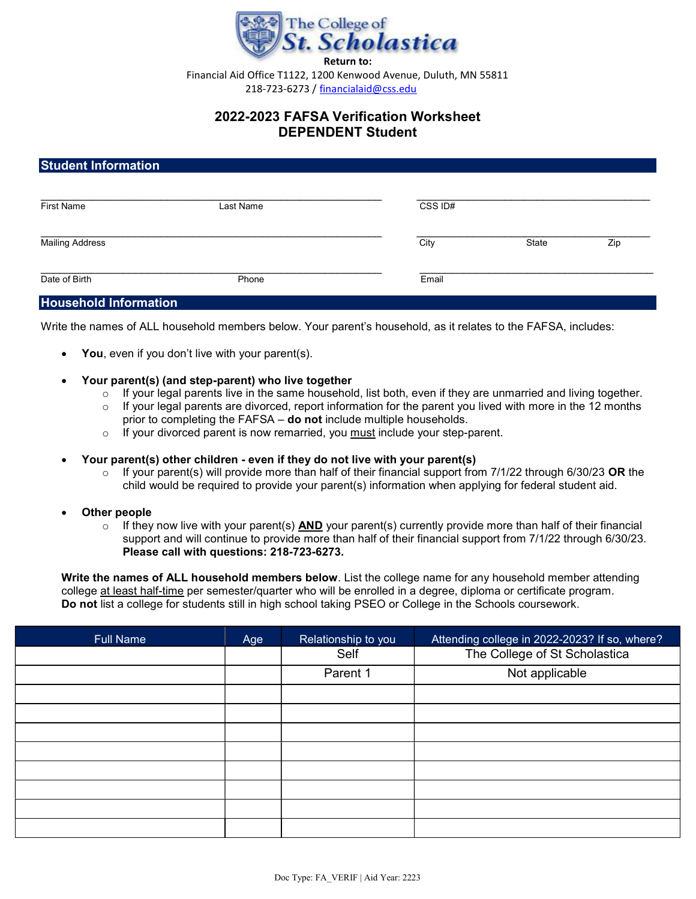

Financial Aid Office T1122, 1200 Kenwood Avenue, Duluth, MN 55811 218-723-6273 / financialaid@css.edu

# 2022-2023 FAFSA Verification Worksheet DEPENDENT Student

## Student Information

| <b>First Name</b>      | Last Name | CSS ID# |       |     |
|------------------------|-----------|---------|-------|-----|
| <b>Mailing Address</b> |           | City    | State | Zip |
| Date of Birth          | Phone     | Email   |       |     |

### Household Information

Write the names of ALL household members below. Your parent's household, as it relates to the FAFSA, includes:

- You, even if you don't live with your parent(s).
- Your parent(s) (and step-parent) who live together
	- $\circ$  If your legal parents live in the same household, list both, even if they are unmarried and living together.
	- o If your legal parents are divorced, report information for the parent you lived with more in the 12 months prior to completing the FAFSA – do not include multiple households.
	- $\circ$  If your divorced parent is now remarried, you must include your step-parent.

#### Your parent(s) other children - even if they do not live with your parent(s)

 $\circ$  If your parent(s) will provide more than half of their financial support from 7/1/22 through 6/30/23 OR the child would be required to provide your parent(s) information when applying for federal student aid.

#### Other people

 $\circ$  If they now live with your parent(s) AND your parent(s) currently provide more than half of their financial support and will continue to provide more than half of their financial support from 7/1/22 through 6/30/23. Please call with questions: 218-723-6273.

Write the names of ALL household members below. List the college name for any household member attending college at least half-time per semester/quarter who will be enrolled in a degree, diploma or certificate program. Do not list a college for students still in high school taking PSEO or College in the Schools coursework.

| <b>Full Name</b> | Age | Relationship to you | Attending college in 2022-2023? If so, where? |
|------------------|-----|---------------------|-----------------------------------------------|
|                  |     | Self                | The College of St Scholastica                 |
|                  |     | Parent 1            | Not applicable                                |
|                  |     |                     |                                               |
|                  |     |                     |                                               |
|                  |     |                     |                                               |
|                  |     |                     |                                               |
|                  |     |                     |                                               |
|                  |     |                     |                                               |
|                  |     |                     |                                               |
|                  |     |                     |                                               |